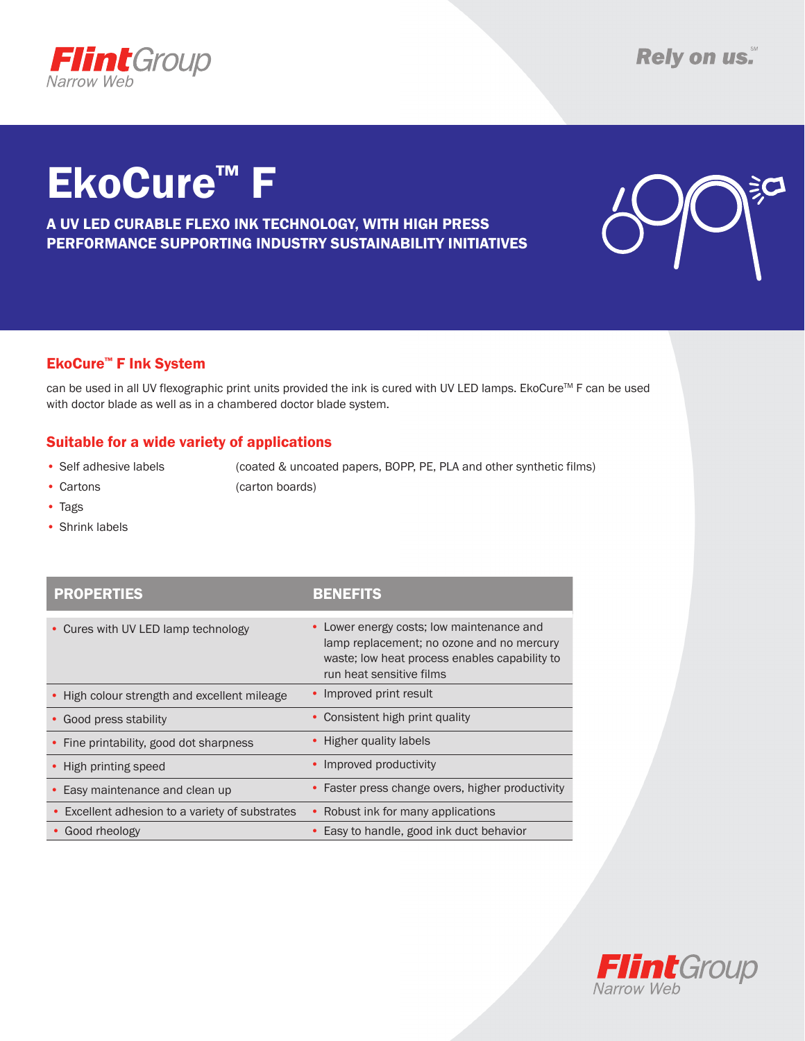

# EkoCure™ F

A UV LED CURABLE FLEXO INK TECHNOLOGY, WITH HIGH PRESS PERFORMANCE SUPPORTING INDUSTRY SUSTAINABILITY INITIATIVES



### EkoCure™ F Ink System

can be used in all UV flexographic print units provided the ink is cured with UV LED lamps. EkoCure™ F can be used with doctor blade as well as in a chambered doctor blade system.

#### Suitable for a wide variety of applications

• Self adhesive labels (coated & uncoated papers, BOPP, PE, PLA and other synthetic films) • Cartons (carton boards)

- • Tags
- • Shrink labels

| <b>PROPERTIES</b>                               | <b>BENEFITS</b>                                                                                                                                                     |
|-------------------------------------------------|---------------------------------------------------------------------------------------------------------------------------------------------------------------------|
| • Cures with UV LED lamp technology             | • Lower energy costs; low maintenance and<br>lamp replacement; no ozone and no mercury<br>waste; low heat process enables capability to<br>run heat sensitive films |
| • High colour strength and excellent mileage    | • Improved print result                                                                                                                                             |
| • Good press stability                          | • Consistent high print quality                                                                                                                                     |
| • Fine printability, good dot sharpness         | • Higher quality labels                                                                                                                                             |
| • High printing speed                           | • Improved productivity                                                                                                                                             |
| • Easy maintenance and clean up                 | • Faster press change overs, higher productivity                                                                                                                    |
| • Excellent adhesion to a variety of substrates | Robust ink for many applications                                                                                                                                    |
| Good rheology                                   | Easy to handle, good ink duct behavior                                                                                                                              |